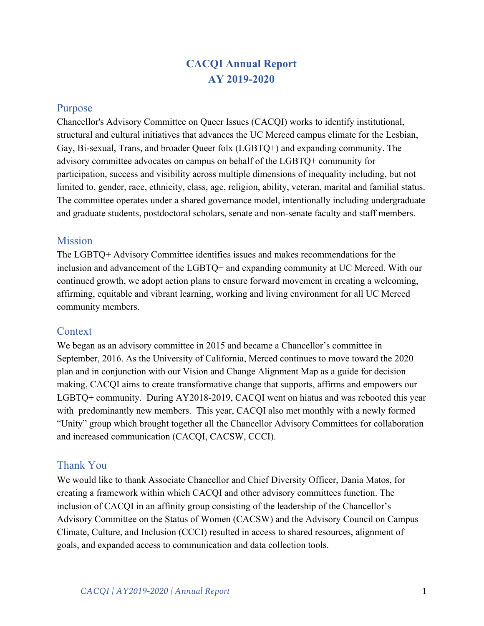## **CACQI Annual Report AY 2019-2020**

### Purpose

Chancellor's Advisory Committee on Queer Issues (CACQI) works to identify institutional, structural and cultural initiatives that advances the UC Merced campus climate for the Lesbian, Gay, Bi-sexual, Trans, and broader Queer folx (LGBTQ+) and expanding community. The advisory committee advocates on campus on behalf of the LGBTQ+ community for participation, success and visibility across multiple dimensions of inequality including, but not limited to, gender, race, ethnicity, class, age, religion, ability, veteran, marital and familial status. The committee operates under a shared governance model, intentionally including undergraduate and graduate students, postdoctoral scholars, senate and non-senate faculty and staff members.

## **Mission**

The LGBTQ+ Advisory Committee identifies issues and makes recommendations for the inclusion and advancement of the LGBTQ+ and expanding community at UC Merced. With our continued growth, we adopt action plans to ensure forward movement in creating a welcoming, affirming, equitable and vibrant learning, working and living environment for all UC Merced community members.

## **Context**

We began as an advisory committee in 2015 and became a Chancellor's committee in September, 2016. As the University of California, Merced continues to move toward the 2020 plan and in conjunction with our Vision and Change Alignment Map as a guide for decision making, CACQI aims to create transformative change that supports, affirms and empowers our LGBTQ+ community. During AY2018-2019, CACQI went on hiatus and was rebooted this year with predominantly new members. This year, CACQI also met monthly with a newly formed "Unity" group which brought together all the Chancellor Advisory Committees for collaboration and increased communication (CACQI, CACSW, CCCI).

## Thank You

We would like to thank Associate Chancellor and Chief Diversity Officer, Dania Matos, for creating a framework within which CACQI and other advisory committees function. The inclusion of CACQI in an affinity group consisting of the leadership of the Chancellor's Advisory Committee on the Status of Women (CACSW) and the Advisory Council on Campus Climate, Culture, and Inclusion (CCCI) resulted in access to shared resources, alignment of goals, and expanded access to communication and data collection tools.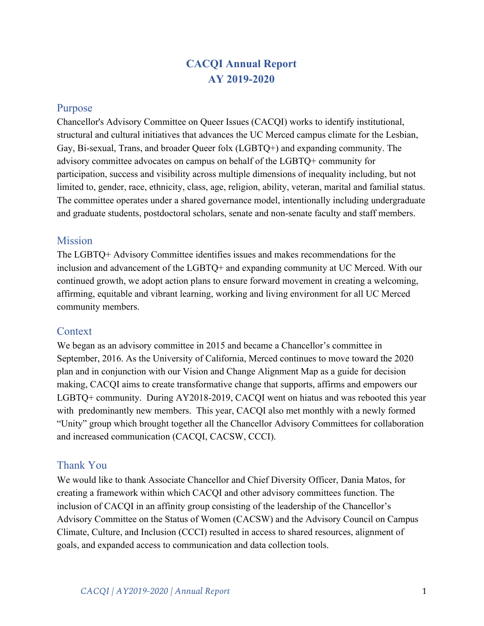## Priorities AY 2019-2020

CACQI was on hiatus for the 2018-2019 academic year and many of our board members were new to CACQI for the 2019-2020 academic year. For this reason, one of our first tasks was to familiarize ourselves with CACQI processes and past documentation. We reviewed past accomplishments, issues and recommendations from previous reports, and tracked progress on past initiatives. See **Appendix A** for details. From there, we identified ongoing priorities, which expanded based on ideas from new members.

This year's priorities were:

Develop best practices for affirming an inclusive LGBTQ+ Data Collection Permanently fund the Queer Ally Program by shifting the program from CACQI budget to the Office of Equity, Diversity, and Inclusion. Organize monthly "rainbow socials" and/or "Queer Talks" Participate in the campus "diversity collective." Hold weekly CACQI "drop-in" hours Rebuild CACQI email list and list-serves.

**Please note:** We spent the majority of the Fall semester re-orienting ourselves to processes with plans for launching of events, communications, and initiatives during the Spring. Due to the COVID-19 outbreak, many of our momentum was lost through stay at home orders and shifting to remote learning.

## Accomplishments

CACQI had a number of accomplishments with regards to our priorities as well as additional victories this year which have been highlighted below:

T gqt kgp vc wkap 'q ht ECES Kb go dgt u'vq 'ECES Kr c w'rt qegungu'c pf 'gxgp vu0' This included reviewing the CACQI charter, past reports, Box files, and previous events and partnerships. We elected three co-chairs and established roles among current members. *Fcw 'Equivalgent Equipment PT* his year, we spoke with Chief Diversity Office Dania Matos about the need for more data to develop best practices for affirming an inclusive LGBTQ+ Data Collection, which could help to identify the queer population on the UC Merced campus. We were tasked with coming up with a Data Wish List (included as **Appendix B)**. *S* wggt 'Cnf' Rt qi t co 'Hwpf kpi 0 Currently Queer Ally funding is coming through the CACQI Budget. We spoke with Chief Diversity Officer Dania Matos about a need for permanent funding through the Office of Equity, Diversity, and Inclusion. *Tckpdqy 'Nwpej 'Ugelcnd'*We organized several series of events. Most events were canceled due to the COVID-19 pandemic.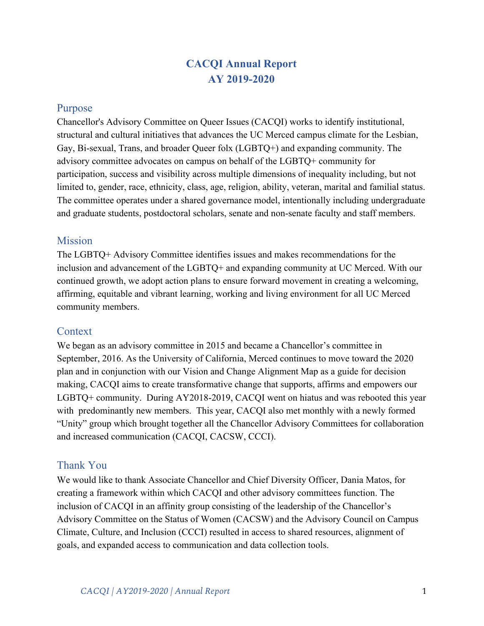A series of Rainbow Lunch Socials (see **Appendix C)** in which children's books on queer issues were discussed. Three events were planned but only one was held for a discussion of *Oliver Button is a Sissy*. 8 people were in attendance. Participation in the Lunch and Learn series of events established by the Office of Equity, Diversity, and Inclusion (EDI).

One social was planned in conjunction with Pride Week in an effort to align CACQI with Queer student groups, but we were unable to host the lunch because of COVID-19.

*Rct Welr c Wap 'lp 'Wp lef 'I t gwr 0'*Assisted in the development and planning efforts of the EDI affinity group of advisory committees.

*ECES KF t ar* /*K* $\theta'$ *J a* $w$ *t* $w$ <sup> $\theta'$ </sup>In order to increase visibility and membership, we established Drop-in hours for faculty, students, and staff to raise issues of concern. These **Tget who gpv'gh'b go dgt u0'We sought to increase representation CACQI through** Happenings and through email communications. We created a CACQI listserve  $(cacqi-social@ucmered.edu)$  and updated the CACQI website. Four new members were recruited (Veronica Adrover, Hanna Gunn, Sam Ocena, Arielle Wright)

#### **What we planned but didn't achieve due to pandemic.**

*Tckpdqy 'Nwpej 'Ugekcn* $\kappa$ Two were canceled. *Nwpej 'cpf'Ngctp*<Was canceled. *Rt A*<sup>*g*</sup> *Y ggm* All events were canceled. *ECES Kft gr/kp'l gwtu* All were canceled.

## 2020-2021 Priorities & Requests

After careful consideration of the issues and recommendations listed above, CACQI has set the following as their priorities for the 2020-2021 academic year.

#### **Priorities for AY 2020-2021**

*Eco rwu'Erlo cygO'*Collaborating with Chief Diversity Officer and other Chancellor Advisory groups on "centering campus climate" to focus on equitable hiring practices and to reduce instances of bullying on campus.

**Tget who gpv'qHp gy 'b go dgtu**, especially with the goal of increasing graduate and undergraduate student representation. In addition, we hope more faculty members from STEM can join our efforts and activities. We aim to further develop our recruitment processes in order to allow for members to overlap and thus to promote training across membership changes.

*Fgxgrar 'Rctypgtuj kru'y kij 'Gzkukpi 'Ecorwu'I tqwru 'kperwf kpi 'student LGTBQ+ clubs* and organisations, and also the LGBTQ+ Pride center.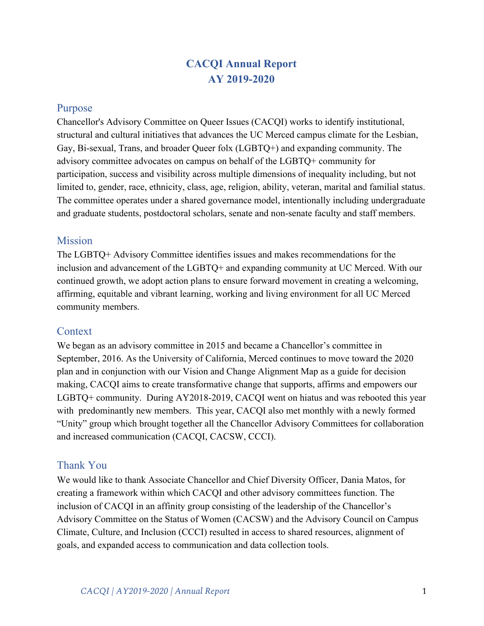- **•** *Gux drky 'ECES Kt u't 'Eco r wu'Rt gugp eg through hosting Rainbow Lunch Series events* and other opportunities for social gathering, piloting CACQI drop-in hours, and increasing outreach via building the CACQI List serve and participating in campus activities.
- **•** *Tgxkgy 'Tgeqo o gpf cikapu'lt qo 'C[4239/423: 't gr qt v* to review for scope of CACQI and to set additional priorities for AY2020-2021.

### **Requests for AY 2020-2021**

- *Pgy 'b go dgt 'lpf wevlap 't clp lpi* ''CACSW mentioned the intention of creating a training, which we think would also be beneficial for all Chancellor's advisory groups.
- **•** *Y gdukg'cpf 'UqekciO gfkc'Uwrrqtvto promote CACQI initiatives and events.*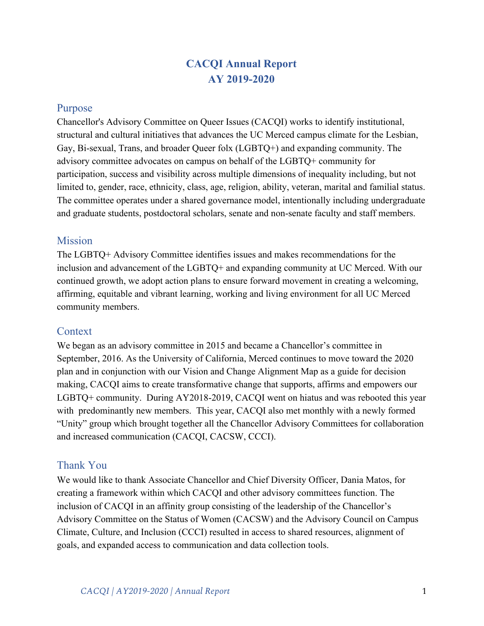## Appendix A: Past Initiative & Progress Tracking

The following recommendations were made from the AY2017-2018 CACQI Report. This chart tracks the goals of the committee before and after the transition. The issues included in Appendix A were tabled by the present CACQI members to develop a sense of what CACQI had achieved before the hiatus. We then selected some of the issues to begin working on over the current (2019-2021) academic year.

| <b>Campus Climate Recommendations</b>                                                                                                                                            | None     | Minimal | Some                                                                                         | Ongoing                                    | Complete                                                                                                                                |
|----------------------------------------------------------------------------------------------------------------------------------------------------------------------------------|----------|---------|----------------------------------------------------------------------------------------------|--------------------------------------------|-----------------------------------------------------------------------------------------------------------------------------------------|
| Collect data every 2-3 years for students,<br>faculty and staff                                                                                                                  |          |         | <b>UC</b> Path<br>allows for<br>employees to<br>indicate<br>gender ID and<br>sexual identity | Memo<br>needs to<br>go out<br>to<br>campus | (Needs to be<br>verified, but<br>Path was<br>down)                                                                                      |
| Hold supervisors, faculty and staff<br>accountable for non-response to<br>LGBTQ+ issues                                                                                          | X        |         |                                                                                              |                                            |                                                                                                                                         |
| Provide explicit communication about<br>importance of LGBTQ+ diversity in<br>regards to staff/faculty merit pay process,<br>promotion, tenure review, hiring $\&$<br>recruitment | X        |         |                                                                                              |                                            |                                                                                                                                         |
| Create concrete strategic plan to diagnose<br>and address inequity in family/medical<br>leave, benefits and accommodations                                                       | $\gamma$ |         |                                                                                              |                                            |                                                                                                                                         |
| Write a statement and communicate to<br>campus Deans, Managers, Faculty, Staff,<br>UCPath & IDM about utilizing<br>lived/preferred names and pronouns                            |          |         |                                                                                              |                                            | On Sept. 3,<br>CDO wrote<br>to campus<br>community<br>to identify<br>their gender<br>pronouns in<br>their email<br>signature<br>blocks. |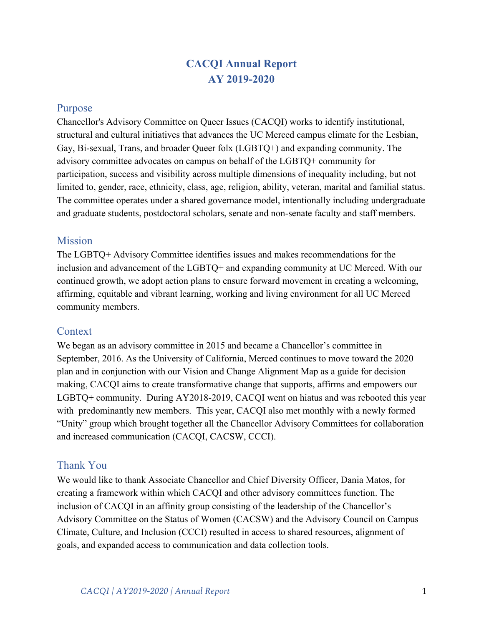| Require IT to do an audit on all systems<br>to ensure they are pulling lived/preferred<br>names and make recommendation to<br>prioritize correcting issues with systems<br>not pulling lived/preferred names                                                                                                                                                                                   |   | In progress<br>systemwide,<br>not sure about<br>Merced                                                                                                      |                                                                                                            |
|------------------------------------------------------------------------------------------------------------------------------------------------------------------------------------------------------------------------------------------------------------------------------------------------------------------------------------------------------------------------------------------------|---|-------------------------------------------------------------------------------------------------------------------------------------------------------------|------------------------------------------------------------------------------------------------------------|
| Bring lived/preferred name issues to the<br>next Chancellor's Council meeting and<br>discuss how to address this as a<br>systemwide issue                                                                                                                                                                                                                                                      |   | $\gamma$                                                                                                                                                    |                                                                                                            |
| Fully fund an LGBTQ+ Center and<br>include funding for:<br>o Staff to have center open during<br>business hours<br>o Academic talks on LGBTQ+ issues                                                                                                                                                                                                                                           |   |                                                                                                                                                             | Center is<br>open."staffed<br>6 hours/<br>week by<br>student<br>employees<br>from<br>LGBTQ+<br>Initiatives |
| Address retention issues by recognizing<br>exceptional contributions (i.e. awards,<br>pay, timeoff, etc.)<br>o Star awards<br>o Take a stance of care rather than<br>legality in response to attacks on<br>LGBTQ+ community and/or other<br>targeted communities<br>o Center those targeted rather than the<br>folx perpetrating<br>o Hold those accountable for creating a<br>hostile climate | X |                                                                                                                                                             |                                                                                                            |
| Fully fund the Queer Ally Program                                                                                                                                                                                                                                                                                                                                                              |   | Funding<br>currently in<br>CACQI<br>committee<br>(QAP \$8,600<br>& CACQI<br>\$6,000<br>budget.QAP<br>should have a<br>permanent<br>department<br>and budget |                                                                                                            |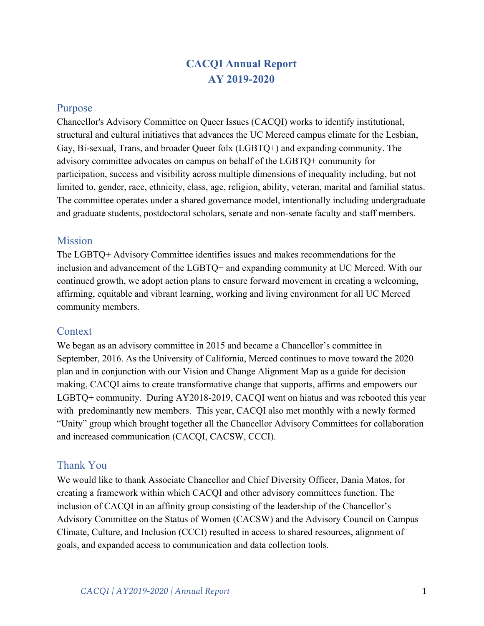| Encourage the creation of a matrix to<br>evaluate contributions to diversity on<br>campus in hiring, promotions and merit<br>pay | X |   |  |
|----------------------------------------------------------------------------------------------------------------------------------|---|---|--|
| Advertise job openings in LGBTQ+<br>organizations (Consortium for Higher<br>Education)                                           | X |   |  |
| Encourage diversity trainings to include<br>LGBTQ+ topics for hiring faculty $\&$ staff                                          | X |   |  |
| Chancellor advocate for the creation of<br>multi-stall gender inclusive restrooms in<br>high traffic areas                       | X |   |  |
| Move LGBTQ+ Initiatives under the<br>Chief Diversity Officer once hired                                                          |   | X |  |

| <b>Student Recommendations</b>                                                                                                                                                                                                               |   |                                                                                                                  |  |
|----------------------------------------------------------------------------------------------------------------------------------------------------------------------------------------------------------------------------------------------|---|------------------------------------------------------------------------------------------------------------------|--|
| Recommend that all Housing<br>professional and student staff be<br>adequately trained on LGBTQ+ issues                                                                                                                                       |   | X                                                                                                                |  |
| Advocate for the creation of Gender<br>Inclusive housing option in the Heritage<br>option                                                                                                                                                    | X |                                                                                                                  |  |
| Develop emergency scholarship fund and<br>flexible basic needs funding for<br>LGBTQ+ students<br>o Particularly look at LGBTQ+ students<br>who have been disowned by their parents<br>due to their identities within the<br>LGBTQ+ community |   | Issue explored<br>with Dean of<br>Students. They<br>provide<br>emergency<br>grants to any<br>student in<br>need. |  |
| Direct the Provost to show leadership in<br>hiring faculty with expertise in gender<br>and sexuality to support a minor in these<br>areas                                                                                                    | X |                                                                                                                  |  |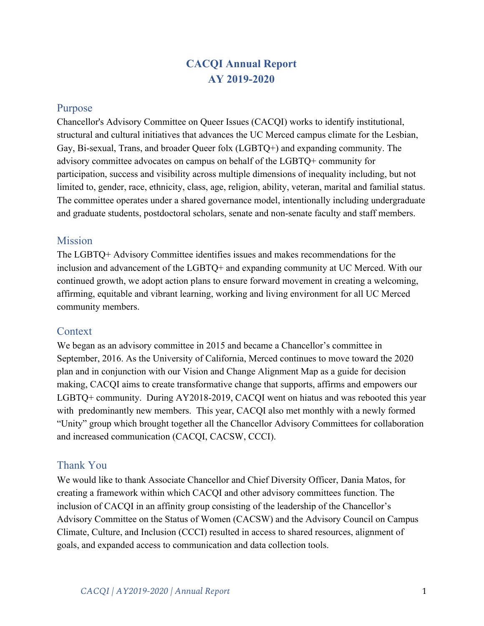| <b>Graduate Student Recommendations</b>                                                                                                                                                                                               | None | Minimal | Some | Ongoing | Complete |
|---------------------------------------------------------------------------------------------------------------------------------------------------------------------------------------------------------------------------------------|------|---------|------|---------|----------|
| Encourage the Provost for Academic<br>Affairs and the Graduate Division to<br>include contributions to diversity when<br>evaluating graduate students (recognize<br>graduates students contributions of<br>service to the university) |      |         |      |         |          |

| <b>Faculty and Non-senate Faculty</b><br><b>Recommendations</b>                                                                                             | None | Minimal | Some | Ongoing | Complete |
|-------------------------------------------------------------------------------------------------------------------------------------------------------------|------|---------|------|---------|----------|
| Provide guidance on completing the<br>evaluation revamp by the end of the<br>2018-2019 academic year                                                        | X    |         |      |         |          |
| Encourage the Faculty Equity Advisers<br>be trained on LGBTQ+ topics and hold<br>accountable in regards to the inclusion of<br>LGBTQ+ topics while advising | X    |         |      |         |          |
| Recommend an audit of Academic<br>Personal knowledge gaps, leaves/benefits<br>& encourage knowledge sharing                                                 | X    |         |      |         |          |
| Systematically recognize service to<br>$LGBTQ+$ by non-senate faculty                                                                                       | X    |         |      |         |          |

| <b>Staff Recommendations</b>                                                                                           | None         | Minimal | Some | Ongoing | Complete |
|------------------------------------------------------------------------------------------------------------------------|--------------|---------|------|---------|----------|
| Require Human Resources staff to bring<br>in someone from the outside to train on<br>$LGBTQ+HR$ specific issues/topics | $\mathbf{x}$ |         |      |         |          |
| Recommend an audit of Human<br>Resources knowledge gaps,<br>leaves/benefits & encourage knowledge<br>sharing           | X            |         |      |         |          |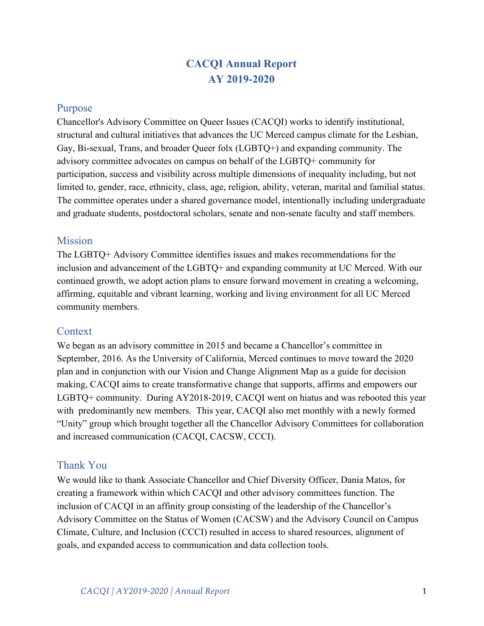| Utilize the information gathered through   | <b>UCOP</b> will |  |  |
|--------------------------------------------|------------------|--|--|
| all UC Merced/UC reporting systems and     | be sending       |  |  |
| develop a strategic plan to address issues | out a            |  |  |
| related to abusive conduct and hostile     | directive        |  |  |
| campus climate                             | about the        |  |  |
|                                            | LGBTQ+           |  |  |
|                                            | <b>Directors</b> |  |  |
|                                            | having           |  |  |
|                                            | access to the    |  |  |
|                                            | admissions       |  |  |
|                                            | data but I am    |  |  |
|                                            | not sure         |  |  |
|                                            | when that        |  |  |
|                                            | notice will      |  |  |
|                                            | go out. Also     |  |  |
|                                            | I have not       |  |  |
|                                            | heard            |  |  |
|                                            | anything         |  |  |
|                                            | about            |  |  |
|                                            | developing a     |  |  |
|                                            | strategic        |  |  |
|                                            | plan to          |  |  |
|                                            | address          |  |  |
|                                            | abusive          |  |  |
|                                            | conduct and      |  |  |
|                                            | hostile          |  |  |
|                                            | campus           |  |  |
|                                            | climate          |  |  |
|                                            |                  |  |  |

 $\mathcal{L}(\mathcal{A})$  and  $\mathcal{L}(\mathcal{A})$  and  $\mathcal{L}(\mathcal{A})$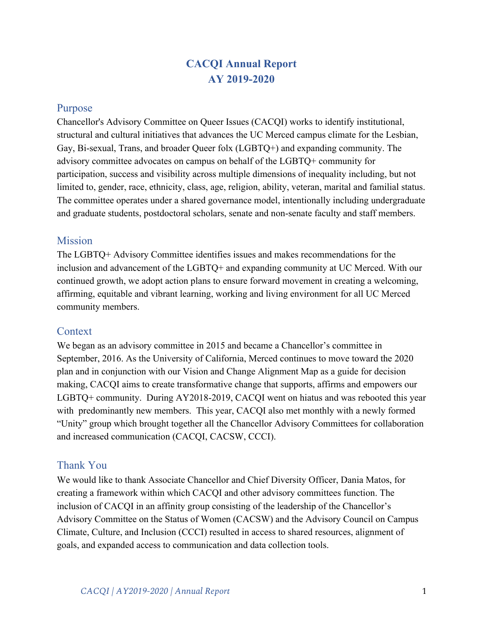## **Appendix B: Data Collection Wish List**

#### **Why do we want to collect data?**

CACQI is requesting access to existing and future data about the LGBTQ+ population at UC Merced. This data will help CACQI, and by extension, the Chancellor, to have an accurate understanding of the size and diversity of our LGBTQ+ community.

In particular, we are interested in finding out about gaps in support for our queer population, and thus places where we can direct our efforts. At the present stage, we are particularly interested in gathering information about the present LGBTQ+ population across campus. It has been difficult for CACQI to obtain this information in the past, as we note in more detail in the below sections. With an eye to the future, we are also interested in data on hiring, promotion, service, in support of the LGBTQ+ population.

#### **What data?**

Identity

Gender identity for students, staff and faculty.

Sexual identity for students, staff and faculty.

Sensitivity Training

Who is taking diversity training programs? (e.g., Queer Ally training)

Who is taking implicit bias trainings?

#### Employment processes

An analysis of the language that is used in hiring and searches, i.e., what is the diversity language used across schools and departments, does it include LGBTQ+ language?

What information is being communicated to hiring committees across all levels of campus (Senate, Non-Senate, Staff, etc).

Gender identity/sexual identity of job applicants for faculty and staff positions.

Climate

Incidents of harassment based on race, ethnicity, gender, and sexual orientation. Qualitative assessment of diversity efforts as a part of the annual review of faculty, administrators and staff.

# of diverse (LGBTQ+) organizations on campus.

# of course syllabi that include a diversity, inclusion or campus climate statement. #of LGBTQ+ related articles in campus communications.

Attitudes toward members of diverse groups.

Feelings of belonging among ethnically and racially diverse groups on campus.

Intergroup relations and behaviors on campus.

Climate survey specific to LGBTQ+ issues.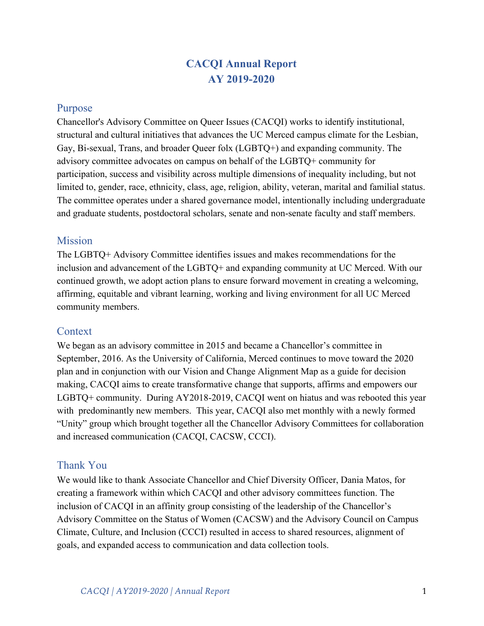Structured employee feedback.

#### **Some comments on data acquisition:**

# of LGBTQ+ are usually low in various units. As a result, these numbers are sometimes not reported for reasons of privacy and anonymity. When these numbers are too low to be reported statistically, it would help if the results can at least be "highlighted", rather than being registered as "not shown"or "not reported" in unit statistics. When these figures are left out completely, it gives the appearance that there are no relevant issues here which is not the case.

LGBTQ+ data should be also available for all units to draft their diversity plan. If there is no LGBTQ+ data available to these campus units, LGBTQ+ (including non-binary) will not be considered in their diversity plan. Making LGBTQ+ data available to all campus units is a critical step to making the LGBTQ+ community more visible on the campus. Timely availability. We need the most up-to-date data, in the past a lag on access has been problematic.

#### **Review of existing data collection systems**

Is there a non-binary option when applying for staff and/or academic positions? UC Path and Banner for students: Differences across these systems has resulted in non-prefered names being disclosed and used for students and student employees who have changed their names.

"Non-binary" should be reported on in gender statistics of all the campus units.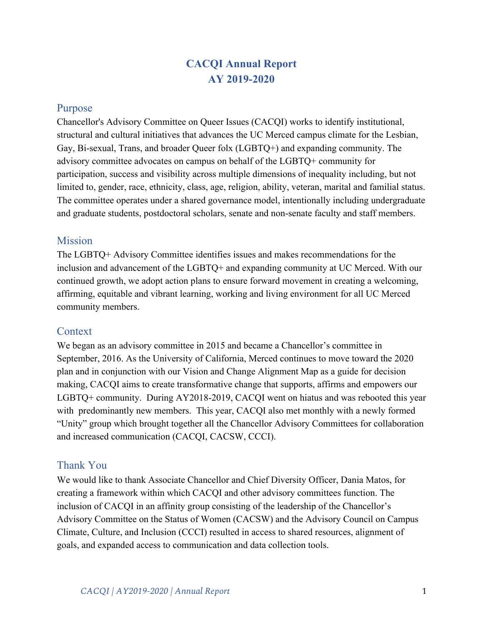## 5 ddYbX]l '7. Dfca chcbU A UnYf]Ug/A





## Rainbow **Lunch Series**

Join us for a catered lunch and a discussion of queer fairy tales!

Open to the LGBTQ+ community and allies

> March<sub>5</sub> Oliver Button is a Sissy by Tomie dePaola

> > 1-2pm | COB2-390

RSVP: CACQI@ucmerced.edu

Á